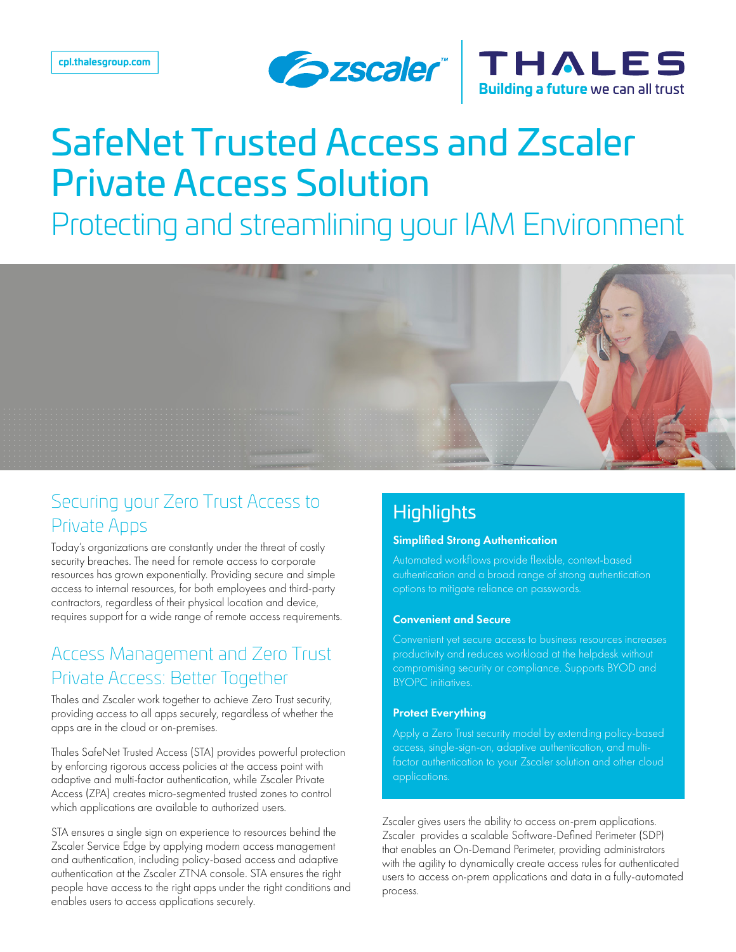



# SafeNet Trusted Access and Zscaler Private Access Solution

Protecting and streamlining your IAM Environment



# Securing your Zero Trust Access to Private Apps

Today's organizations are constantly under the threat of costly security breaches. The need for remote access to corporate resources has grown exponentially. Providing secure and simple access to internal resources, for both employees and third-party contractors, regardless of their physical location and device, requires support for a wide range of remote access requirements.

## Access Management and Zero Trust Private Access: Better Together

Thales and Zscaler work together to achieve Zero Trust security, providing access to all apps securely, regardless of whether the apps are in the cloud or on-premises.

Thales SafeNet Trusted Access (STA) provides powerful protection by enforcing rigorous access policies at the access point with adaptive and multi-factor authentication, while Zscaler Private Access (ZPA) creates micro-segmented trusted zones to control which applications are available to authorized users.

STA ensures a single sign on experience to resources behind the Zscaler Service Edge by applying modern access management and authentication, including policy-based access and adaptive authentication at the Zscaler ZTNA console. STA ensures the right people have access to the right apps under the right conditions and enables users to access applications securely.

## **Highlights**

#### Simplified Strong Authentication

Automated workflows provide flexible, context-based authentication and a broad range of strong authentication options to mitigate reliance on passwords.

#### Convenient and Secure

Convenient yet secure access to business resources increases productivity and reduces workload at the helpdesk without compromising security or compliance. Supports BYOD and BYOPC initiatives.

#### Protect Everything

Apply a Zero Trust security model by extending policy-based access, single-sign-on, adaptive authentication, and multifactor authentication to your Zscaler solution and other cloud applications.

Zscaler gives users the ability to access on-prem applications. Zscaler provides a scalable Software-Defined Perimeter (SDP) that enables an On-Demand Perimeter, providing administrators with the agility to dynamically create access rules for authenticated users to access on-prem applications and data in a fully-automated process.